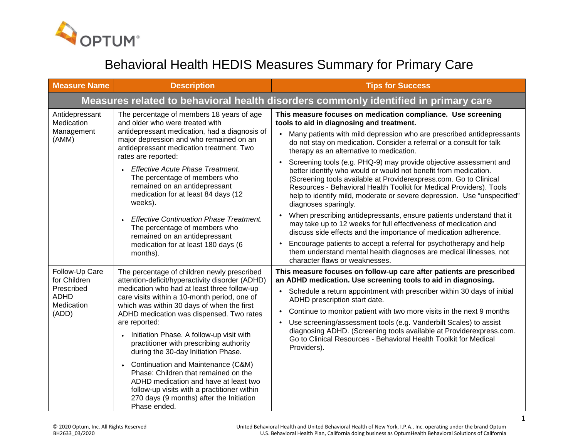

## Behavioral Health HEDIS Measures Summary for Primary Care

| <b>Measure Name</b>                                                                | <b>Description</b>                                                                                                                                                                                                                                                                                       | <b>Tips for Success</b>                                                                                                                                                                                                                                                                                                                                                             |
|------------------------------------------------------------------------------------|----------------------------------------------------------------------------------------------------------------------------------------------------------------------------------------------------------------------------------------------------------------------------------------------------------|-------------------------------------------------------------------------------------------------------------------------------------------------------------------------------------------------------------------------------------------------------------------------------------------------------------------------------------------------------------------------------------|
|                                                                                    |                                                                                                                                                                                                                                                                                                          | Measures related to behavioral health disorders commonly identified in primary care                                                                                                                                                                                                                                                                                                 |
| Antidepressant<br>Medication<br>Management<br>(AMM)                                | The percentage of members 18 years of age<br>and older who were treated with<br>antidepressant medication, had a diagnosis of<br>major depression and who remained on an<br>antidepressant medication treatment. Two<br>rates are reported:                                                              | This measure focuses on medication compliance. Use screening<br>tools to aid in diagnosing and treatment.                                                                                                                                                                                                                                                                           |
|                                                                                    |                                                                                                                                                                                                                                                                                                          | Many patients with mild depression who are prescribed antidepressants<br>$\bullet$<br>do not stay on medication. Consider a referral or a consult for talk<br>therapy as an alternative to medication.                                                                                                                                                                              |
|                                                                                    | <b>Effective Acute Phase Treatment.</b><br>The percentage of members who<br>remained on an antidepressant<br>medication for at least 84 days (12<br>weeks).                                                                                                                                              | Screening tools (e.g. PHQ-9) may provide objective assessment and<br>better identify who would or would not benefit from medication.<br>(Screening tools available at Providerexpress.com. Go to Clinical<br>Resources - Behavioral Health Toolkit for Medical Providers). Tools<br>help to identify mild, moderate or severe depression. Use "unspecified"<br>diagnoses sparingly. |
|                                                                                    | <b>Effective Continuation Phase Treatment.</b><br>The percentage of members who<br>remained on an antidepressant<br>medication for at least 180 days (6<br>months).                                                                                                                                      | When prescribing antidepressants, ensure patients understand that it<br>$\bullet$<br>may take up to 12 weeks for full effectiveness of medication and<br>discuss side effects and the importance of medication adherence.                                                                                                                                                           |
|                                                                                    |                                                                                                                                                                                                                                                                                                          | Encourage patients to accept a referral for psychotherapy and help<br>$\bullet$<br>them understand mental health diagnoses are medical illnesses, not<br>character flaws or weaknesses.                                                                                                                                                                                             |
| Follow-Up Care<br>for Children<br>Prescribed<br><b>ADHD</b><br>Medication<br>(ADD) | The percentage of children newly prescribed<br>attention-deficit/hyperactivity disorder (ADHD)<br>medication who had at least three follow-up<br>care visits within a 10-month period, one of<br>which was within 30 days of when the first<br>ADHD medication was dispensed. Two rates<br>are reported: | This measure focuses on follow-up care after patients are prescribed<br>an ADHD medication. Use screening tools to aid in diagnosing.                                                                                                                                                                                                                                               |
|                                                                                    |                                                                                                                                                                                                                                                                                                          | Schedule a return appointment with prescriber within 30 days of initial<br>ADHD prescription start date.                                                                                                                                                                                                                                                                            |
|                                                                                    |                                                                                                                                                                                                                                                                                                          | Continue to monitor patient with two more visits in the next 9 months<br>$\bullet$                                                                                                                                                                                                                                                                                                  |
|                                                                                    |                                                                                                                                                                                                                                                                                                          | Use screening/assessment tools (e.g. Vanderbilt Scales) to assist<br>$\bullet$<br>diagnosing ADHD. (Screening tools available at Providerexpress.com.<br>Go to Clinical Resources - Behavioral Health Toolkit for Medical<br>Providers).                                                                                                                                            |
|                                                                                    | Initiation Phase. A follow-up visit with<br>practitioner with prescribing authority<br>during the 30-day Initiation Phase.                                                                                                                                                                               |                                                                                                                                                                                                                                                                                                                                                                                     |
|                                                                                    | Continuation and Maintenance (C&M)<br>Phase: Children that remained on the<br>ADHD medication and have at least two<br>follow-up visits with a practitioner within<br>270 days (9 months) after the Initiation<br>Phase ended.                                                                           |                                                                                                                                                                                                                                                                                                                                                                                     |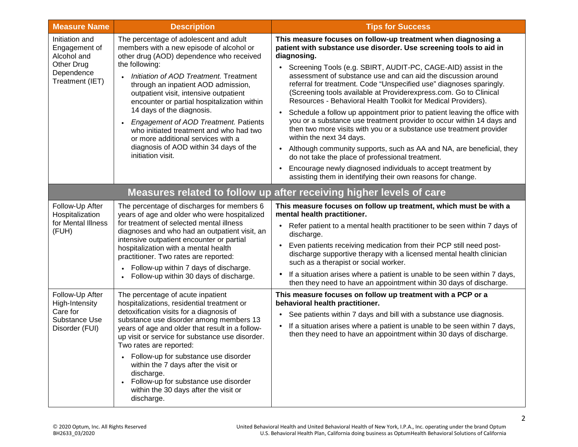| <b>Measure Name</b>                                                                           | <b>Description</b>                                                                                                                                                                                                                                                                                                                                                                                                                                                                                                                               | <b>Tips for Success</b>                                                                                                                                                                                                                                                                                                                      |
|-----------------------------------------------------------------------------------------------|--------------------------------------------------------------------------------------------------------------------------------------------------------------------------------------------------------------------------------------------------------------------------------------------------------------------------------------------------------------------------------------------------------------------------------------------------------------------------------------------------------------------------------------------------|----------------------------------------------------------------------------------------------------------------------------------------------------------------------------------------------------------------------------------------------------------------------------------------------------------------------------------------------|
| Initiation and<br>Engagement of<br>Alcohol and<br>Other Drug<br>Dependence<br>Treatment (IET) | The percentage of adolescent and adult<br>members with a new episode of alcohol or<br>other drug (AOD) dependence who received<br>the following:<br>Initiation of AOD Treatment. Treatment<br>through an inpatient AOD admission,<br>outpatient visit, intensive outpatient<br>encounter or partial hospitalization within<br>14 days of the diagnosis.<br>Engagement of AOD Treatment. Patients<br>who initiated treatment and who had two<br>or more additional services with a<br>diagnosis of AOD within 34 days of the<br>initiation visit. | This measure focuses on follow-up treatment when diagnosing a<br>patient with substance use disorder. Use screening tools to aid in<br>diagnosing.                                                                                                                                                                                           |
|                                                                                               |                                                                                                                                                                                                                                                                                                                                                                                                                                                                                                                                                  | Screening Tools (e.g. SBIRT, AUDIT-PC, CAGE-AID) assist in the<br>assessment of substance use and can aid the discussion around<br>referral for treatment. Code "Unspecified use" diagnoses sparingly.<br>(Screening tools available at Providerexpress.com. Go to Clinical<br>Resources - Behavioral Health Toolkit for Medical Providers). |
|                                                                                               |                                                                                                                                                                                                                                                                                                                                                                                                                                                                                                                                                  | Schedule a follow up appointment prior to patient leaving the office with<br>$\bullet$<br>you or a substance use treatment provider to occur within 14 days and<br>then two more visits with you or a substance use treatment provider<br>within the next 34 days.                                                                           |
|                                                                                               |                                                                                                                                                                                                                                                                                                                                                                                                                                                                                                                                                  | Although community supports, such as AA and NA, are beneficial, they<br>$\bullet$<br>do not take the place of professional treatment.                                                                                                                                                                                                        |
|                                                                                               |                                                                                                                                                                                                                                                                                                                                                                                                                                                                                                                                                  | Encourage newly diagnosed individuals to accept treatment by<br>assisting them in identifying their own reasons for change.                                                                                                                                                                                                                  |
|                                                                                               |                                                                                                                                                                                                                                                                                                                                                                                                                                                                                                                                                  | Measures related to follow up after receiving higher levels of care                                                                                                                                                                                                                                                                          |
| Follow-Up After<br>Hospitalization<br>for Mental Illness<br>(FUH)                             | The percentage of discharges for members 6<br>years of age and older who were hospitalized<br>for treatment of selected mental illness<br>diagnoses and who had an outpatient visit, an<br>intensive outpatient encounter or partial<br>hospitalization with a mental health<br>practitioner. Two rates are reported:<br>Follow-up within 7 days of discharge.<br>Follow-up within 30 days of discharge.                                                                                                                                         | This measure focuses on follow up treatment, which must be with a<br>mental health practitioner.<br>Refer patient to a mental health practitioner to be seen within 7 days of<br>discharge.<br>Even patients receiving medication from their PCP still need post-<br>$\bullet$                                                               |
|                                                                                               |                                                                                                                                                                                                                                                                                                                                                                                                                                                                                                                                                  | discharge supportive therapy with a licensed mental health clinician<br>such as a therapist or social worker.                                                                                                                                                                                                                                |
|                                                                                               |                                                                                                                                                                                                                                                                                                                                                                                                                                                                                                                                                  | If a situation arises where a patient is unable to be seen within 7 days,<br>$\bullet$<br>then they need to have an appointment within 30 days of discharge.                                                                                                                                                                                 |
| Follow-Up After<br>High-Intensity<br>Care for<br>Substance Use<br>Disorder (FUI)              | The percentage of acute inpatient<br>hospitalizations, residential treatment or<br>detoxification visits for a diagnosis of<br>substance use disorder among members 13<br>years of age and older that result in a follow-<br>up visit or service for substance use disorder.<br>Two rates are reported:                                                                                                                                                                                                                                          | This measure focuses on follow up treatment with a PCP or a<br>behavioral health practitioner.                                                                                                                                                                                                                                               |
|                                                                                               |                                                                                                                                                                                                                                                                                                                                                                                                                                                                                                                                                  | See patients within 7 days and bill with a substance use diagnosis.<br>$\bullet$                                                                                                                                                                                                                                                             |
|                                                                                               |                                                                                                                                                                                                                                                                                                                                                                                                                                                                                                                                                  | If a situation arises where a patient is unable to be seen within 7 days,<br>$\bullet$<br>then they need to have an appointment within 30 days of discharge.                                                                                                                                                                                 |
|                                                                                               | • Follow-up for substance use disorder<br>within the 7 days after the visit or<br>discharge.<br>Follow-up for substance use disorder<br>$\bullet$<br>within the 30 days after the visit or<br>discharge.                                                                                                                                                                                                                                                                                                                                         |                                                                                                                                                                                                                                                                                                                                              |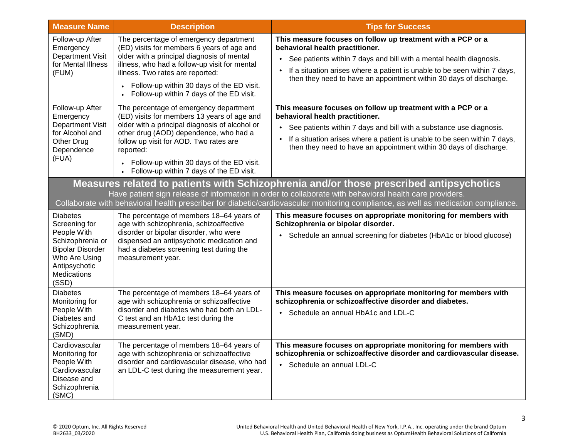| <b>Measure Name</b>                                                                                                  | <b>Description</b>                                                                                                                                                                                                                       | <b>Tips for Success</b>                                                                                                                                                            |
|----------------------------------------------------------------------------------------------------------------------|------------------------------------------------------------------------------------------------------------------------------------------------------------------------------------------------------------------------------------------|------------------------------------------------------------------------------------------------------------------------------------------------------------------------------------|
| Follow-up After<br>Emergency<br><b>Department Visit</b><br>for Mental Illness<br>(FUM)                               | The percentage of emergency department<br>(ED) visits for members 6 years of age and<br>older with a principal diagnosis of mental<br>illness, who had a follow-up visit for mental<br>illness. Two rates are reported:                  | This measure focuses on follow up treatment with a PCP or a<br>behavioral health practitioner.<br>See patients within 7 days and bill with a mental health diagnosis.<br>$\bullet$ |
|                                                                                                                      |                                                                                                                                                                                                                                          | If a situation arises where a patient is unable to be seen within 7 days,<br>then they need to have an appointment within 30 days of discharge.                                    |
|                                                                                                                      | Follow-up within 30 days of the ED visit.<br>Follow-up within 7 days of the ED visit.                                                                                                                                                    |                                                                                                                                                                                    |
| Follow-up After<br>Emergency<br>Department Visit<br>for Alcohol and<br>Other Drug<br>Dependence<br>(FUA)             | The percentage of emergency department<br>(ED) visits for members 13 years of age and<br>older with a principal diagnosis of alcohol or<br>other drug (AOD) dependence, who had a<br>follow up visit for AOD. Two rates are<br>reported: | This measure focuses on follow up treatment with a PCP or a<br>behavioral health practitioner.                                                                                     |
|                                                                                                                      |                                                                                                                                                                                                                                          | See patients within 7 days and bill with a substance use diagnosis.<br>$\bullet$                                                                                                   |
|                                                                                                                      |                                                                                                                                                                                                                                          | If a situation arises where a patient is unable to be seen within 7 days,<br>$\bullet$<br>then they need to have an appointment within 30 days of discharge.                       |
|                                                                                                                      | Follow-up within 30 days of the ED visit.<br>Follow-up within 7 days of the ED visit.                                                                                                                                                    |                                                                                                                                                                                    |
|                                                                                                                      |                                                                                                                                                                                                                                          | Measures related to patients with Schizophrenia and/or those prescribed antipsychotics                                                                                             |
|                                                                                                                      |                                                                                                                                                                                                                                          | Have patient sign release of information in order to collaborate with behavioral health care providers.                                                                            |
| <b>Diabetes</b>                                                                                                      |                                                                                                                                                                                                                                          | Collaborate with behavioral health prescriber for diabetic/cardiovascular monitoring compliance, as well as medication compliance.                                                 |
| Screening for                                                                                                        | The percentage of members 18-64 years of<br>age with schizophrenia, schizoaffective                                                                                                                                                      | This measure focuses on appropriate monitoring for members with<br>Schizophrenia or bipolar disorder.                                                                              |
| People With<br>Schizophrenia or<br><b>Bipolar Disorder</b><br>Who Are Using<br>Antipsychotic<br>Medications<br>(SSD) | disorder or bipolar disorder, who were<br>dispensed an antipsychotic medication and<br>had a diabetes screening test during the<br>measurement year.                                                                                     | Schedule an annual screening for diabetes (HbA1c or blood glucose)<br>$\bullet$                                                                                                    |
| <b>Diabetes</b><br>Monitoring for                                                                                    | The percentage of members 18-64 years of<br>age with schizophrenia or schizoaffective                                                                                                                                                    | This measure focuses on appropriate monitoring for members with<br>schizophrenia or schizoaffective disorder and diabetes.                                                         |
| People With<br>Diabetes and<br>Schizophrenia<br>(SMD)                                                                | disorder and diabetes who had both an LDL-<br>C test and an HbA1c test during the<br>measurement year.                                                                                                                                   | Schedule an annual HbA1c and LDL-C<br>$\bullet$                                                                                                                                    |
| Cardiovascular<br>Monitoring for<br>People With<br>Cardiovascular<br>Disease and<br>Schizophrenia<br>(SMC)           | The percentage of members 18-64 years of<br>age with schizophrenia or schizoaffective<br>disorder and cardiovascular disease, who had<br>an LDL-C test during the measurement year.                                                      | This measure focuses on appropriate monitoring for members with<br>schizophrenia or schizoaffective disorder and cardiovascular disease.<br>Schedule an annual LDL-C               |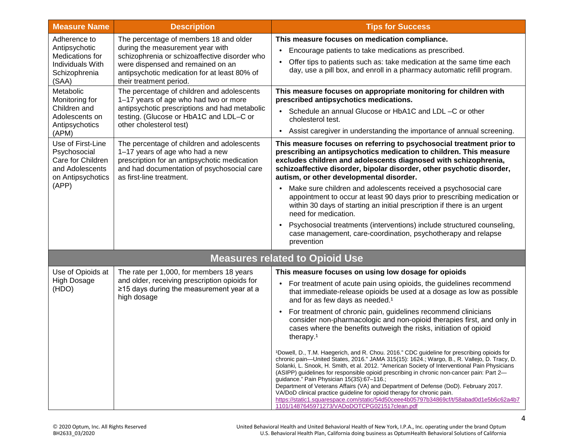| <b>Measure Name</b>                                                                                     | <b>Description</b>                                                                                                                                                                                                                          | <b>Tips for Success</b>                                                                                                                                                                                                                                                                                                                                                                                                                                                                                                                                                                                                                                                                                                                          |
|---------------------------------------------------------------------------------------------------------|---------------------------------------------------------------------------------------------------------------------------------------------------------------------------------------------------------------------------------------------|--------------------------------------------------------------------------------------------------------------------------------------------------------------------------------------------------------------------------------------------------------------------------------------------------------------------------------------------------------------------------------------------------------------------------------------------------------------------------------------------------------------------------------------------------------------------------------------------------------------------------------------------------------------------------------------------------------------------------------------------------|
| Adherence to<br>Antipsychotic<br>Medications for<br>Individuals With<br>Schizophrenia<br>(SAA)          | The percentage of members 18 and older<br>during the measurement year with<br>schizophrenia or schizoaffective disorder who<br>were dispensed and remained on an<br>antipsychotic medication for at least 80% of<br>their treatment period. | This measure focuses on medication compliance.<br>Encourage patients to take medications as prescribed.<br>$\bullet$<br>Offer tips to patients such as: take medication at the same time each<br>day, use a pill box, and enroll in a pharmacy automatic refill program.                                                                                                                                                                                                                                                                                                                                                                                                                                                                         |
| Metabolic<br>Monitoring for<br>Children and<br>Adolescents on<br>Antipsychotics<br>(APM)                | The percentage of children and adolescents<br>1-17 years of age who had two or more<br>antipsychotic prescriptions and had metabolic<br>testing. (Glucose or HbA1C and LDL-C or<br>other cholesterol test)                                  | This measure focuses on appropriate monitoring for children with<br>prescribed antipsychotics medications.<br>Schedule an annual Glucose or HbA1C and LDL -C or other<br>cholesterol test.<br>Assist caregiver in understanding the importance of annual screening.<br>$\bullet$                                                                                                                                                                                                                                                                                                                                                                                                                                                                 |
| Use of First-Line<br>Psychosocial<br>Care for Children<br>and Adolescents<br>on Antipsychotics<br>(APP) | The percentage of children and adolescents<br>1-17 years of age who had a new<br>prescription for an antipsychotic medication<br>and had documentation of psychosocial care<br>as first-line treatment.                                     | This measure focuses on referring to psychosocial treatment prior to<br>prescribing an antipsychotics medication to children. This measure<br>excludes children and adolescents diagnosed with schizophrenia,<br>schizoaffective disorder, bipolar disorder, other psychotic disorder,<br>autism, or other developmental disorder.                                                                                                                                                                                                                                                                                                                                                                                                               |
|                                                                                                         |                                                                                                                                                                                                                                             | Make sure children and adolescents received a psychosocial care<br>$\bullet$<br>appointment to occur at least 90 days prior to prescribing medication or<br>within 30 days of starting an initial prescription if there is an urgent<br>need for medication.                                                                                                                                                                                                                                                                                                                                                                                                                                                                                     |
|                                                                                                         |                                                                                                                                                                                                                                             | Psychosocial treatments (interventions) include structured counseling,<br>case management, care-coordination, psychotherapy and relapse<br>prevention                                                                                                                                                                                                                                                                                                                                                                                                                                                                                                                                                                                            |
|                                                                                                         |                                                                                                                                                                                                                                             | <b>Measures related to Opioid Use</b>                                                                                                                                                                                                                                                                                                                                                                                                                                                                                                                                                                                                                                                                                                            |
| Use of Opioids at<br><b>High Dosage</b><br>(HDO)                                                        | The rate per 1,000, for members 18 years<br>and older, receiving prescription opioids for<br>≥15 days during the measurement year at a<br>high dosage                                                                                       | This measure focuses on using low dosage for opioids<br>• For treatment of acute pain using opioids, the guidelines recommend<br>that immediate-release opioids be used at a dosage as low as possible<br>and for as few days as needed. <sup>1</sup><br>For treatment of chronic pain, guidelines recommend clinicians<br>$\bullet$<br>consider non-pharmacologic and non-opioid therapies first, and only in<br>cases where the benefits outweigh the risks, initiation of opioid<br>therapy. <sup>1</sup>                                                                                                                                                                                                                                     |
|                                                                                                         |                                                                                                                                                                                                                                             | 1Dowell, D., T.M. Haegerich, and R. Chou. 2016." CDC guideline for prescribing opioids for<br>chronic pain-United States, 2016." JAMA 315(15): 1624.; Wargo, B., R. Vallejo, D. Tracy, D.<br>Solanki, L. Snook, H. Smith, et al. 2012. "American Society of Interventional Pain Physicians<br>(ASIPP) guidelines for responsible opioid prescribing in chronic non-cancer pain: Part 2-<br>guidance." Pain Physician 15(3S):67-116.;<br>Department of Veterans Affairs (VA) and Department of Defense (DoD). February 2017.<br>VA/DoD clinical practice guideline for opioid therapy for chronic pain.<br>https://static1.squarespace.com/static/54d50ceee4b05797b34869cf/t/58abad0d1e5b6c62a4b7<br>1101/1487645971273/VADoDOTCPG021517clean.pdf |